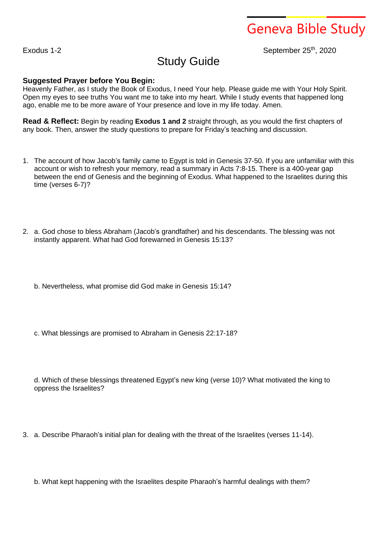Geneva Bible Study

## Exodus 1-2 September 25<sup>th</sup>, 2020

## Study Guide

## **Suggested Prayer before You Begin:**

Heavenly Father, as I study the Book of Exodus, I need Your help. Please guide me with Your Holy Spirit. Open my eyes to see truths You want me to take into my heart. While I study events that happened long ago, enable me to be more aware of Your presence and love in my life today. Amen.

**Read & Reflect:** Begin by reading **Exodus 1 and 2** straight through, as you would the first chapters of any book. Then, answer the study questions to prepare for Friday's teaching and discussion.

- 1. The account of how Jacob's family came to Egypt is told in Genesis 37-50. If you are unfamiliar with this account or wish to refresh your memory, read a summary in Acts 7:8-15. There is a 400-year gap between the end of Genesis and the beginning of Exodus. What happened to the Israelites during this time (verses 6-7)?
- 2. a. God chose to bless Abraham (Jacob's grandfather) and his descendants. The blessing was not instantly apparent. What had God forewarned in Genesis 15:13?
	- b. Nevertheless, what promise did God make in Genesis 15:14?
	- c. What blessings are promised to Abraham in Genesis 22:17-18?

d. Which of these blessings threatened Egypt's new king (verse 10)? What motivated the king to oppress the Israelites?

3. a. Describe Pharaoh's initial plan for dealing with the threat of the Israelites (verses 11-14).

b. What kept happening with the Israelites despite Pharaoh's harmful dealings with them?